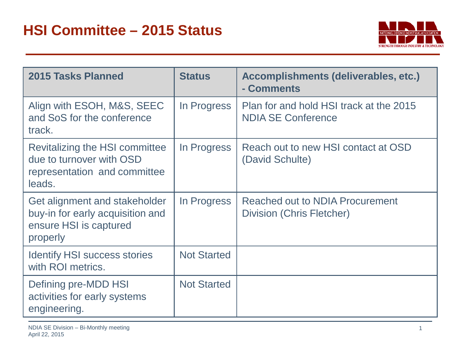

| <b>2015 Tasks Planned</b>                                                                               | <b>Status</b>      | <b>Accomplishments (deliverables, etc.)</b><br>- Comments            |
|---------------------------------------------------------------------------------------------------------|--------------------|----------------------------------------------------------------------|
| Align with ESOH, M&S, SEEC<br>and SoS for the conference<br>track.                                      | In Progress        | Plan for and hold HSI track at the 2015<br><b>NDIA SE Conference</b> |
| Revitalizing the HSI committee<br>due to turnover with OSD<br>representation and committee<br>leads.    | In Progress        | Reach out to new HSI contact at OSD<br>(David Schulte)               |
| Get alignment and stakeholder<br>buy-in for early acquisition and<br>ensure HSI is captured<br>properly | In Progress        | Reached out to NDIA Procurement<br>Division (Chris Fletcher)         |
| <b>Identify HSI success stories</b><br>with ROI metrics.                                                | <b>Not Started</b> |                                                                      |
| Defining pre-MDD HSI<br>activities for early systems<br>engineering.                                    | <b>Not Started</b> |                                                                      |